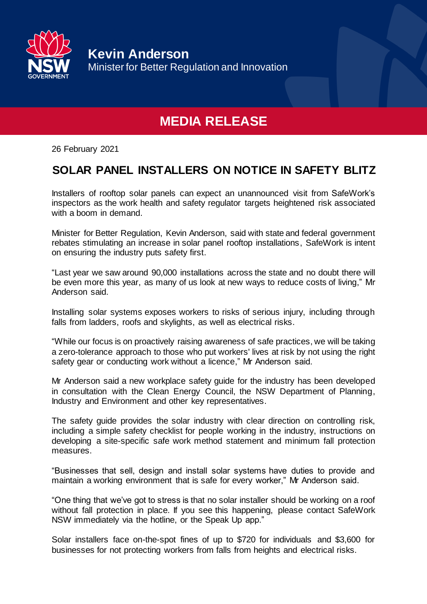

**Kevin Anderson** Minister for Better Regulation and Innovation

## **MEDIA RELEASE**

26 February 2021

## **SOLAR PANEL INSTALLERS ON NOTICE IN SAFETY BLITZ**

Installers of rooftop solar panels can expect an unannounced visit from SafeWork's inspectors as the work health and safety regulator targets heightened risk associated with a boom in demand.

Minister for Better Regulation, Kevin Anderson, said with state and federal government rebates stimulating an increase in solar panel rooftop installations, SafeWork is intent on ensuring the industry puts safety first.

"Last year we saw around 90,000 installations across the state and no doubt there will be even more this year, as many of us look at new ways to reduce costs of living," Mr Anderson said.

Installing solar systems exposes workers to risks of serious injury, including through falls from ladders, roofs and skylights, as well as electrical risks.

"While our focus is on proactively raising awareness of safe practices, we will be taking a zero-tolerance approach to those who put workers' lives at risk by not using the right safety gear or conducting work without a licence," Mr Anderson said.

Mr Anderson said a new workplace safety guide for the industry has been developed in consultation with the Clean Energy Council, the NSW Department of Planning, Industry and Environment and other key representatives.

The safety guide provides the solar industry with clear direction on controlling risk, including a simple safety checklist for people working in the industry, instructions on developing a site-specific safe work method statement and minimum fall protection measures.

"Businesses that sell, design and install solar systems have duties to provide and maintain a working environment that is safe for every worker," Mr Anderson said.

"One thing that we've got to stress is that no solar installer should be working on a roof without fall protection in place. If you see this happening, please contact SafeWork NSW immediately via the hotline, or the Speak Up app."

Solar installers face on-the-spot fines of up to \$720 for individuals and \$3,600 for businesses for not protecting workers from falls from heights and electrical risks.